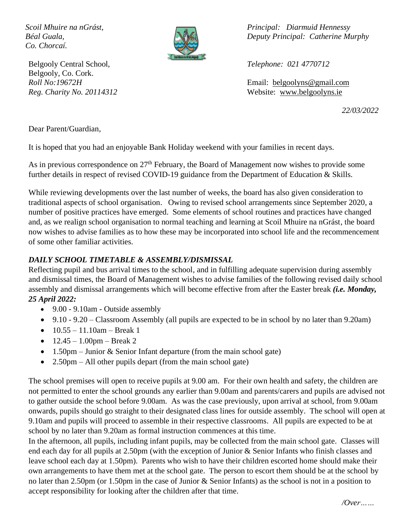*Co. Chorcaí.*



Belgooly Central School, *Telephone: 021 4770712* Belgooly, Co. Cork.

*Scoil Mhuire na nGrást, Principal: Diarmuid Hennessy Béal Guala, Deputy Principal: Catherine Murphy*

*Roll No:19672H* Email: [belgoolyns@gmail.com](mailto:belgoolyns@gmail.com) *Reg. Charity No. 20114312* Website: [www.belgoolyns.ie](http://www.belgoolyns.scoilnet.ie/)

*22/03/2022*

Dear Parent/Guardian,

It is hoped that you had an enjoyable Bank Holiday weekend with your families in recent days.

As in previous correspondence on  $27<sup>th</sup>$  February, the Board of Management now wishes to provide some further details in respect of revised COVID-19 guidance from the Department of Education & Skills.

While reviewing developments over the last number of weeks, the board has also given consideration to traditional aspects of school organisation. Owing to revised school arrangements since September 2020, a number of positive practices have emerged. Some elements of school routines and practices have changed and, as we realign school organisation to normal teaching and learning at Scoil Mhuire na nGrást, the board now wishes to advise families as to how these may be incorporated into school life and the recommencement of some other familiar activities.

## *DAILY SCHOOL TIMETABLE & ASSEMBLY/DISMISSAL*

Reflecting pupil and bus arrival times to the school, and in fulfilling adequate supervision during assembly and dismissal times, the Board of Management wishes to advise families of the following revised daily school assembly and dismissal arrangements which will become effective from after the Easter break *(i.e. Monday, 25 April 2022:*

- 9.00 9.10am Outside assembly
- 9.10 9.20 Classroom Assembly (all pupils are expected to be in school by no later than 9.20am)
- $10.55 11.10$ am Break 1
- $12.45 1.00$ pm Break 2
- 1.50pm Junior & Senior Infant departure (from the main school gate)
- 2.50pm All other pupils depart (from the main school gate)

The school premises will open to receive pupils at 9.00 am. For their own health and safety, the children are not permitted to enter the school grounds any earlier than 9.00am and parents/carers and pupils are advised not to gather outside the school before 9.00am. As was the case previously, upon arrival at school, from 9.00am onwards, pupils should go straight to their designated class lines for outside assembly. The school will open at 9.10am and pupils will proceed to assemble in their respective classrooms. All pupils are expected to be at school by no later than 9.20am as formal instruction commences at this time.

In the afternoon, all pupils, including infant pupils, may be collected from the main school gate. Classes will end each day for all pupils at 2.50pm (with the exception of Junior & Senior Infants who finish classes and leave school each day at 1.50pm). Parents who wish to have their children escorted home should make their own arrangements to have them met at the school gate. The person to escort them should be at the school by no later than 2.50pm (or 1.50pm in the case of Junior & Senior Infants) as the school is not in a position to accept responsibility for looking after the children after that time.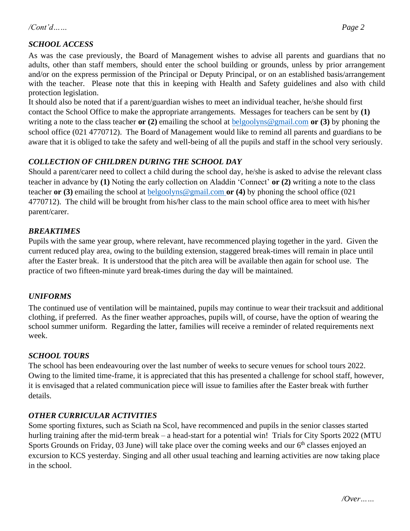### */Cont'd…… Page 2*

# *SCHOOL ACCESS*

As was the case previously, the Board of Management wishes to advise all parents and guardians that no adults, other than staff members, should enter the school building or grounds, unless by prior arrangement and/or on the express permission of the Principal or Deputy Principal, or on an established basis/arrangement with the teacher. Please note that this in keeping with Health and Safety guidelines and also with child protection legislation.

It should also be noted that if a parent/guardian wishes to meet an individual teacher, he/she should first contact the School Office to make the appropriate arrangements. Messages for teachers can be sent by **(1)**  writing a note to the class teacher **or (2)** emailing the school at [belgoolyns@gmail.com](mailto:belgoolyns@gmail.com) **or (3)** by phoning the school office (021 4770712). The Board of Management would like to remind all parents and guardians to be aware that it is obliged to take the safety and well-being of all the pupils and staff in the school very seriously.

### *COLLECTION OF CHILDREN DURING THE SCHOOL DAY*

Should a parent/carer need to collect a child during the school day, he/she is asked to advise the relevant class teacher in advance by **(1)** Noting the early collection on Aladdin 'Connect' **or (2)** writing a note to the class teacher **or (3)** emailing the school at [belgoolyns@gmail.com](mailto:belgoolyns@gmail.com) **or (4)** by phoning the school office (021 4770712). The child will be brought from his/her class to the main school office area to meet with his/her parent/carer.

### *BREAKTIMES*

Pupils with the same year group, where relevant, have recommenced playing together in the yard. Given the current reduced play area, owing to the building extension, staggered break-times will remain in place until after the Easter break. It is understood that the pitch area will be available then again for school use. The practice of two fifteen-minute yard break-times during the day will be maintained.

### *UNIFORMS*

The continued use of ventilation will be maintained, pupils may continue to wear their tracksuit and additional clothing, if preferred. As the finer weather approaches, pupils will, of course, have the option of wearing the school summer uniform. Regarding the latter, families will receive a reminder of related requirements next week.

### *SCHOOL TOURS*

The school has been endeavouring over the last number of weeks to secure venues for school tours 2022. Owing to the limited time-frame, it is appreciated that this has presented a challenge for school staff, however, it is envisaged that a related communication piece will issue to families after the Easter break with further details.

### *OTHER CURRICULAR ACTIVITIES*

Some sporting fixtures, such as Sciath na Scol, have recommenced and pupils in the senior classes started hurling training after the mid-term break – a head-start for a potential win! Trials for City Sports 2022 (MTU Sports Grounds on Friday, 03 June) will take place over the coming weeks and our  $6<sup>th</sup>$  classes enjoyed an excursion to KCS yesterday. Singing and all other usual teaching and learning activities are now taking place in the school.